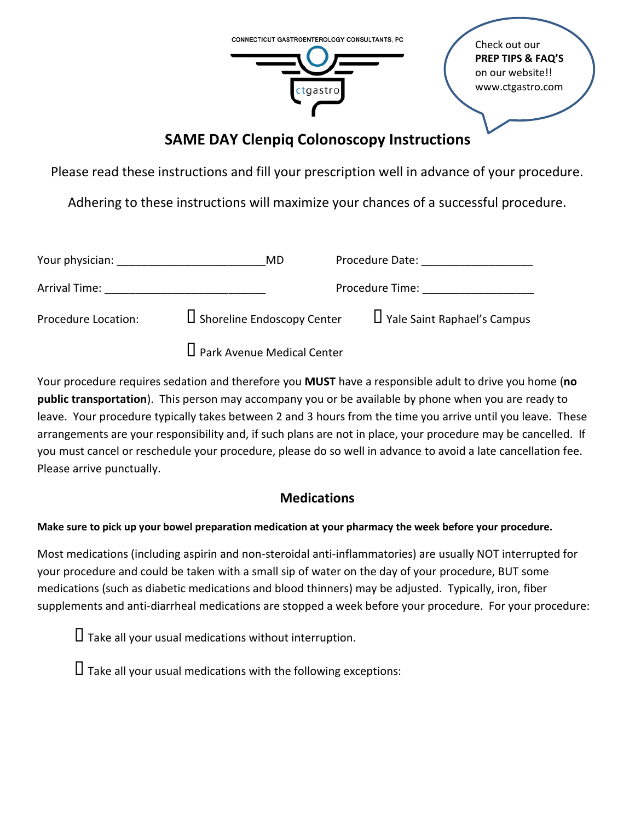

# **SAME DAY Clenpiq Colonoscopy Instructions**

Please read these instructions and fill your prescription well in advance of your procedure.

Adhering to these instructions will maximize your chances of a successful procedure.

| Your physician:     | MD                                | Procedure Date:                    |
|---------------------|-----------------------------------|------------------------------------|
| Arrival Time:       |                                   | Procedure Time:                    |
| Procedure Location: | U Shoreline Endoscopy Center      | $\Box$ Yale Saint Raphael's Campus |
|                     | $\Box$ Park Avenue Medical Center |                                    |

Your procedure requires sedation and therefore you **MUST** have a responsible adult to drive you home (**no public transportation**). This person may accompany you or be available by phone when you are ready to leave. Your procedure typically takes between 2 and 3 hours from the time you arrive until you leave. These arrangements are your responsibility and, if such plans are not in place, your procedure may be cancelled. If you must cancel or reschedule your procedure, please do so well in advance to avoid a late cancellation fee. Please arrive punctually.

## **Medications**

**Make sure to pick up your bowel preparation medication at your pharmacy the week before your procedure.**

Most medications (including aspirin and non-steroidal anti-inflammatories) are usually NOT interrupted for your procedure and could be taken with a small sip of water on the day of your procedure, BUT some medications (such as diabetic medications and blood thinners) may be adjusted. Typically, iron, fiber supplements and anti-diarrheal medications are stopped a week before your procedure. For your procedure:

 $\Box$  Take all your usual medications without interruption.

 $\Box$  Take all your usual medications with the following exceptions: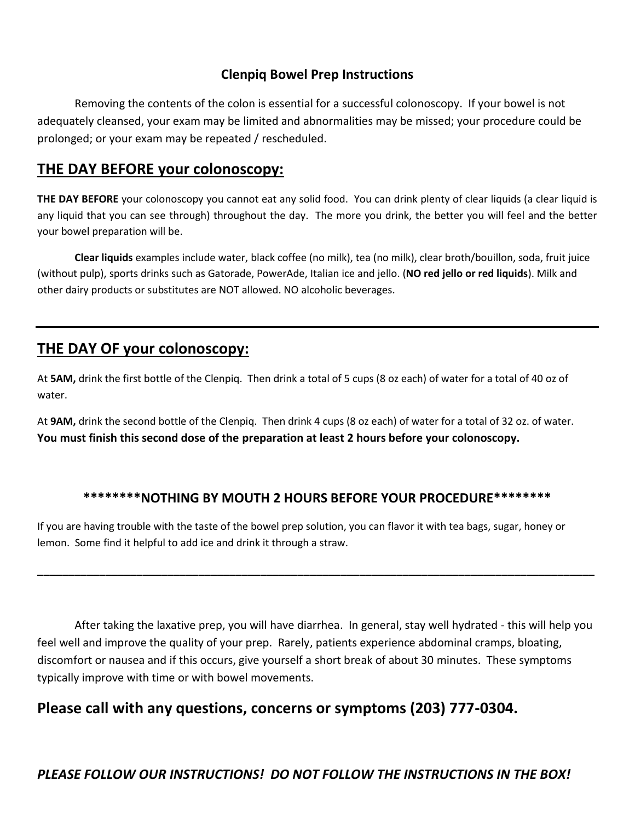#### **Clenpiq Bowel Prep Instructions**

Removing the contents of the colon is essential for a successful colonoscopy. If your bowel is not adequately cleansed, your exam may be limited and abnormalities may be missed; your procedure could be prolonged; or your exam may be repeated / rescheduled.

### **THE DAY BEFORE your colonoscopy:**

**THE DAY BEFORE** your colonoscopy you cannot eat any solid food. You can drink plenty of clear liquids (a clear liquid is any liquid that you can see through) throughout the day. The more you drink, the better you will feel and the better your bowel preparation will be.

**Clear liquids** examples include water, black coffee (no milk), tea (no milk), clear broth/bouillon, soda, fruit juice (without pulp), sports drinks such as Gatorade, PowerAde, Italian ice and jello. (**NO red jello or red liquids**). Milk and other dairy products or substitutes are NOT allowed. NO alcoholic beverages.

### **THE DAY OF your colonoscopy:**

At **5AM,** drink the first bottle of the Clenpiq. Then drink a total of 5 cups (8 oz each) of water for a total of 40 oz of water.

At **9AM,** drink the second bottle of the Clenpiq.Then drink 4 cups (8 oz each) of water for a total of 32 oz. of water. **You must finish this second dose of the preparation at least 2 hours before your colonoscopy.** 

#### **\*\*\*\*\*\*\*\*NOTHING BY MOUTH 2 HOURS BEFORE YOUR PROCEDURE\*\*\*\*\*\*\*\***

**\_\_\_\_\_\_\_\_\_\_\_\_\_\_\_\_\_\_\_\_\_\_\_\_\_\_\_\_\_\_\_\_\_\_\_\_\_\_\_\_\_\_\_\_\_\_\_\_\_\_\_\_\_\_\_\_\_\_\_\_\_\_\_\_\_\_\_\_\_\_\_\_\_\_\_\_\_\_\_\_\_\_\_\_\_\_\_\_\_\_**

If you are having trouble with the taste of the bowel prep solution, you can flavor it with tea bags, sugar, honey or lemon. Some find it helpful to add ice and drink it through a straw.

After taking the laxative prep, you will have diarrhea. In general, stay well hydrated - this will help you feel well and improve the quality of your prep. Rarely, patients experience abdominal cramps, bloating, discomfort or nausea and if this occurs, give yourself a short break of about 30 minutes. These symptoms typically improve with time or with bowel movements.

## **Please call with any questions, concerns or symptoms (203) 777-0304.**